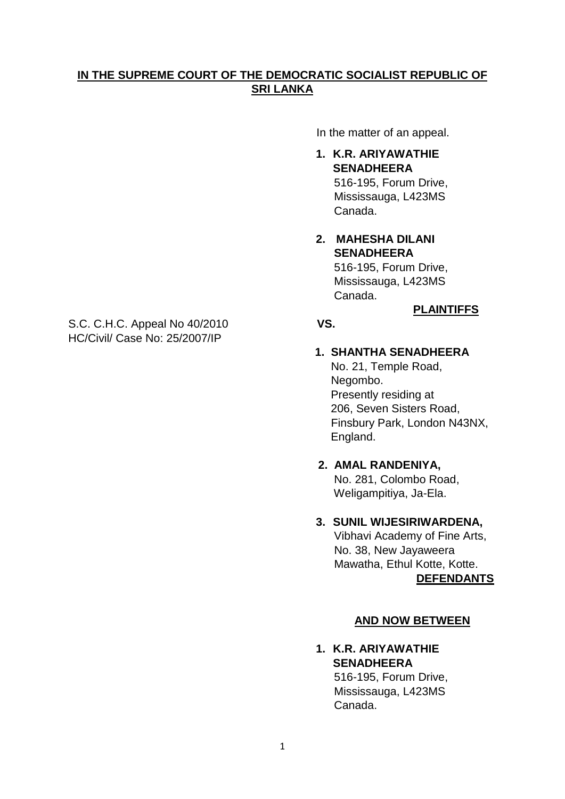## **IN THE SUPREME COURT OF THE DEMOCRATIC SOCIALIST REPUBLIC OF SRI LANKA**

In the matter of an appeal.

## **1. K.R. ARIYAWATHIE SENADHEERA**

 516-195, Forum Drive, Mississauga, L423MS Canada.

## **2. MAHESHA DILANI SENADHEERA**

 516-195, Forum Drive, Mississauga, L423MS Canada.

#### **PLAINTIFFS**

## **1. SHANTHA SENADHEERA**

 No. 21, Temple Road, Negombo. Presently residing at 206, Seven Sisters Road, Finsbury Park, London N43NX, England.

 **2. AMAL RANDENIYA,** No. 281, Colombo Road, Weligampitiya, Ja-Ela.

## **3. SUNIL WIJESIRIWARDENA,**

 Vibhavi Academy of Fine Arts, No. 38, New Jayaweera Mawatha, Ethul Kotte, Kotte. **DEFENDANTS**

#### **AND NOW BETWEEN**

**1. K.R. ARIYAWATHIE SENADHEERA** 516-195, Forum Drive, Mississauga, L423MS Canada.

S.C. C.H.C. Appeal No 40/2010 **VS.** HC/Civil/ Case No: 25/2007/IP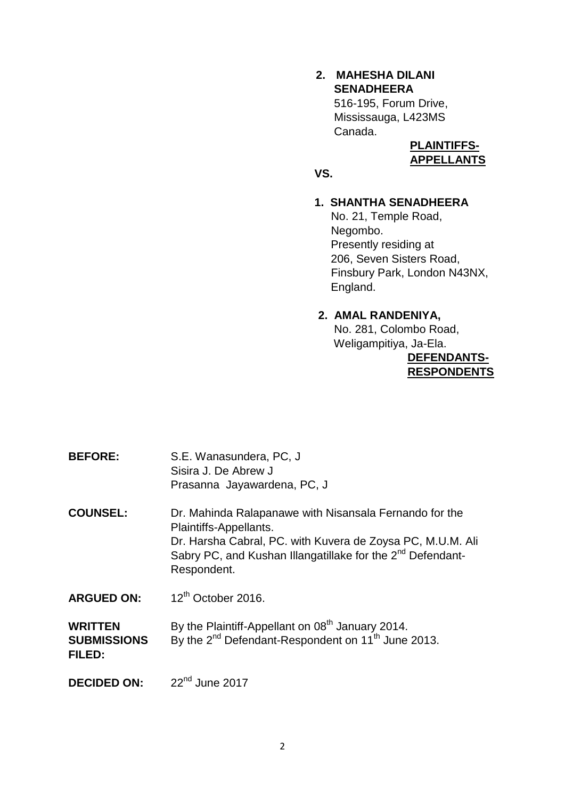# **2. MAHESHA DILANI SENADHEERA** 516-195, Forum Drive,

 Mississauga, L423MS Canada.

#### **PLAINTIFFS-APPELLANTS**

 **VS.**

### **1. SHANTHA SENADHEERA**

 No. 21, Temple Road, Negombo. Presently residing at 206, Seven Sisters Road, Finsbury Park, London N43NX, England.

## **2. AMAL RANDENIYA,**

 No. 281, Colombo Road, Weligampitiya, Ja-Ela.

 **DEFENDANTS- RESPONDENTS**

**BEFORE:** S.E. Wanasundera, PC, J Sisira J. De Abrew J Prasanna Jayawardena, PC, J

**COUNSEL:** Dr. Mahinda Ralapanawe with Nisansala Fernando for the Plaintiffs-Appellants. Dr. Harsha Cabral, PC. with Kuvera de Zoysa PC, M.U.M. Ali Sabry PC, and Kushan Illangatillake for the 2<sup>nd</sup> Defendant-Respondent.

ARGUED ON:  $12^{th}$  October 2016.

**WRITTEN** By the Plaintiff-Appellant on 08<sup>th</sup> January 2014. **SUBMISSIONS** By the 2<sup>nd</sup> Defendant-Respondent on 11<sup>th</sup> June 2013. **FILED:**

**DECIDED ON:**  $22<sup>nd</sup>$  June 2017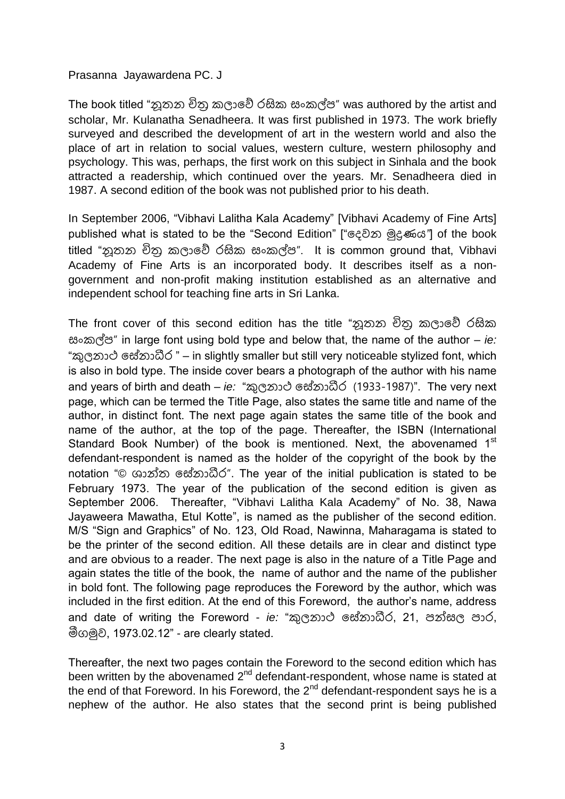#### Prasanna Jayawardena PC. J

The book titled "නූතන චිතු කලාවේ රසික සංකල්ප" was authored by the artist and scholar, Mr. Kulanatha Senadheera. It was first published in 1973. The work briefly surveyed and described the development of art in the western world and also the place of art in relation to social values, western culture, western philosophy and psychology. This was, perhaps, the first work on this subject in Sinhala and the book attracted a readership, which continued over the years. Mr. Senadheera died in 1987. A second edition of the book was not published prior to his death.

In September 2006, "Vibhavi Lalitha Kala Academy" [Vibhavi Academy of Fine Arts] published what is stated to be the "Second Edition" ["වදවන මුද්රණය*"*] of the book titled "නූතන චිතු කලාවේ රසික සංකල්ප". It is common ground that, Vibhavi Academy of Fine Arts is an incorporated body. It describes itself as a nongovernment and non-profit making institution established as an alternative and independent school for teaching fine arts in Sri Lanka.

The front cover of this second edition has the title "නුතන චිතු කලාවේ රසික සංකල්ප" in large font using bold type and below that, the name of the author – *ie:*  "කුලනාථ වේනාධීර " – in slightly smaller but still very noticeable stylized font, which is also in bold type. The inside cover bears a photograph of the author with his name and years of birth and death – *ie:* "කුලනාථ වේනාධීර (1933-1987)". The very next page, which can be termed the Title Page, also states the same title and name of the author, in distinct font. The next page again states the same title of the book and name of the author, at the top of the page. Thereafter, the ISBN (International Standard Book Number) of the book is mentioned. Next, the abovenamed 1<sup>st</sup> defendant-respondent is named as the holder of the copyright of the book by the notation "© ශාන්ත වේනාධීර". The year of the initial publication is stated to be February 1973. The year of the publication of the second edition is given as September 2006. Thereafter, "Vibhavi Lalitha Kala Academy" of No. 38, Nawa Jayaweera Mawatha, Etul Kotte", is named as the publisher of the second edition. M/S "Sign and Graphics" of No. 123, Old Road, Nawinna, Maharagama is stated to be the printer of the second edition. All these details are in clear and distinct type and are obvious to a reader. The next page is also in the nature of a Title Page and again states the title of the book, the name of author and the name of the publisher in bold font. The following page reproduces the Foreword by the author, which was included in the first edition. At the end of this Foreword, the author's name, address and date of writing the Foreword - *ie:* "කුලනාථ වේනාධීර, 21, පන්සල පාර, මීගමුව, 1973.02.12" - are clearly stated.

Thereafter, the next two pages contain the Foreword to the second edition which has been written by the abovenamed 2<sup>nd</sup> defendant-respondent, whose name is stated at the end of that Foreword. In his Foreword, the  $2<sup>nd</sup>$  defendant-respondent says he is a nephew of the author. He also states that the second print is being published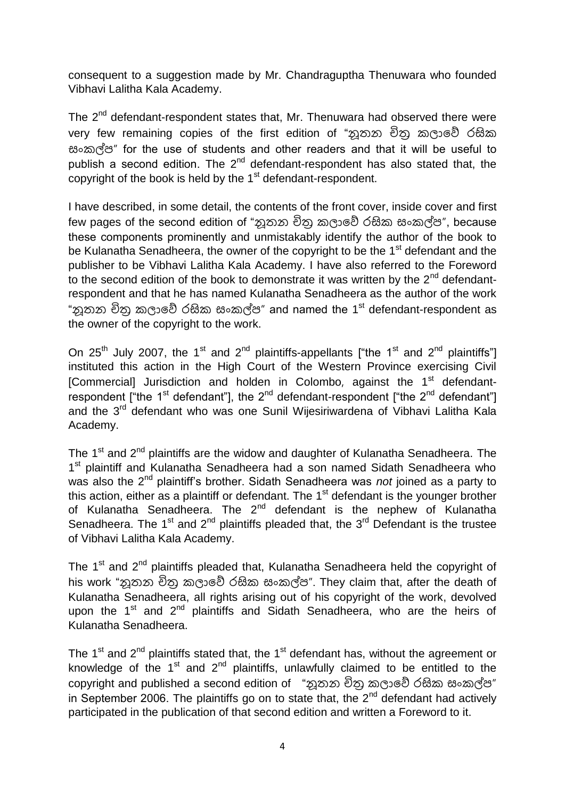consequent to a suggestion made by Mr. Chandraguptha Thenuwara who founded Vibhavi Lalitha Kala Academy.

The 2<sup>nd</sup> defendant-respondent states that, Mr. Thenuwara had observed there were very few remaining copies of the first edition of "නූතන චිතු කලාවේ රසික සංකල්ප" for the use of students and other readers and that it will be useful to publish a second edition. The  $2^{nd}$  defendant-respondent has also stated that, the copyright of the book is held by the 1<sup>st</sup> defendant-respondent.

I have described, in some detail, the contents of the front cover, inside cover and first few pages of the second edition of "නූතන චිතු කලාවේ රසික සංකල්ප", because these components prominently and unmistakably identify the author of the book to be Kulanatha Senadheera, the owner of the copyright to be the  $1<sup>st</sup>$  defendant and the publisher to be Vibhavi Lalitha Kala Academy. I have also referred to the Foreword to the second edition of the book to demonstrate it was written by the  $2<sup>nd</sup>$  defendantrespondent and that he has named Kulanatha Senadheera as the author of the work "නූතන චිතු කලාවේ රසික සංකල්ප" and named the 1 $^{\rm st}$  defendant-respondent as the owner of the copyright to the work.

On 25<sup>th</sup> July 2007, the 1<sup>st</sup> and 2<sup>nd</sup> plaintiffs-appellants ["the 1<sup>st</sup> and 2<sup>nd</sup> plaintiffs"] instituted this action in the High Court of the Western Province exercising Civil [Commercial] Jurisdiction and holden in Colombo, against the 1<sup>st</sup> defendantrespondent ["the  $1<sup>st</sup>$  defendant"], the  $2<sup>nd</sup>$  defendant-respondent ["the  $2<sup>nd</sup>$  defendant"] and the 3rd defendant who was one Sunil Wijesiriwardena of Vibhavi Lalitha Kala Academy.

The  $1<sup>st</sup>$  and  $2<sup>nd</sup>$  plaintiffs are the widow and daughter of Kulanatha Senadheera. The 1<sup>st</sup> plaintiff and Kulanatha Senadheera had a son named Sidath Senadheera who was also the 2<sup>nd</sup> plaintiff's brother. Sidath Senadheera was *not* joined as a party to this action, either as a plaintiff or defendant. The  $1<sup>st</sup>$  defendant is the younger brother of Kulanatha Senadheera. The 2<sup>nd</sup> defendant is the nephew of Kulanatha Senadheera. The 1<sup>st</sup> and 2<sup>nd</sup> plaintiffs pleaded that, the 3<sup>rd</sup> Defendant is the trustee of Vibhavi Lalitha Kala Academy.

The 1<sup>st</sup> and 2<sup>nd</sup> plaintiffs pleaded that, Kulanatha Senadheera held the copyright of his work "නූතන චිතු කලාවේ රසික සංකල්ප". They claim that, after the death of Kulanatha Senadheera, all rights arising out of his copyright of the work, devolved upon the  $1^{st}$  and  $2^{nd}$  plaintiffs and Sidath Senadheera, who are the heirs of Kulanatha Senadheera.

The 1<sup>st</sup> and 2<sup>nd</sup> plaintiffs stated that, the 1<sup>st</sup> defendant has, without the agreement or knowledge of the  $1<sup>st</sup>$  and  $2<sup>nd</sup>$  plaintiffs, unlawfully claimed to be entitled to the copyright and published a second edition of "නූතන චිතු කලාවේ රසික සංකල්ප" in September 2006. The plaintiffs go on to state that, the  $2^{nd}$  defendant had actively participated in the publication of that second edition and written a Foreword to it.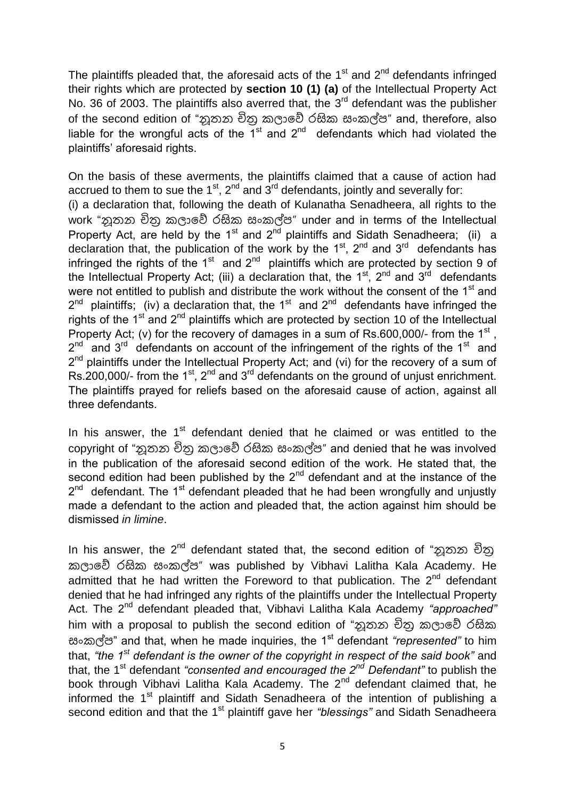The plaintiffs pleaded that, the aforesaid acts of the  $1<sup>st</sup>$  and  $2<sup>nd</sup>$  defendants infringed their rights which are protected by **section 10 (1) (a)** of the Intellectual Property Act No. 36 of 2003. The plaintiffs also averred that, the  $3<sup>rd</sup>$  defendant was the publisher of the second edition of "නූතන චිතු කලාවේ රසික සංකල්ප" and, therefore, also liable for the wrongful acts of the  $1<sup>st</sup>$  and  $2<sup>nd</sup>$  defendants which had violated the plaintiffs' aforesaid rights.

On the basis of these averments, the plaintiffs claimed that a cause of action had accrued to them to sue the  $1^{st}$ ,  $2^{nd'}$  and  $3^{rd}$  defendants, jointly and severally for: (i) a declaration that, following the death of Kulanatha Senadheera, all rights to the work "නූතන චිතු කලාවේ රසික සංකල්ප" under and in terms of the Intellectual Property Act, are held by the  $1<sup>st</sup>$  and  $2<sup>nd</sup>$  plaintiffs and Sidath Senadheera; (ii) a declaration that, the publication of the work by the  $1<sup>st</sup>$ ,  $2<sup>nd</sup>$  and  $3<sup>rd</sup>$  defendants has infringed the rights of the  $1<sup>st</sup>$  and  $2<sup>nd</sup>$  plaintiffs which are protected by section 9 of the Intellectual Property Act; (iii) a declaration that, the  $1<sup>st</sup>$ ,  $2<sup>nd</sup>$  and  $3<sup>rd</sup>$  defendants were not entitled to publish and distribute the work without the consent of the 1<sup>st</sup> and  $2^{nd}$  plaintiffs; (iv) a declaration that, the 1<sup>st</sup> and  $2^{nd}$  defendants have infringed the rights of the  $1<sup>st</sup>$  and  $2<sup>nd</sup>$  plaintiffs which are protected by section 10 of the Intellectual Property Act; (v) for the recovery of damages in a sum of Rs.600,000/- from the  $1<sup>st</sup>$ ,  $2^{nd}$  and  $3^{rd}$  defendants on account of the infringement of the rights of the 1<sup>st</sup> and  $2^{nd}$  plaintiffs under the Intellectual Property Act; and (vi) for the recovery of a sum of Rs.200,000/- from the 1<sup>st</sup>, 2<sup>nd</sup> and 3<sup>rd</sup> defendants on the ground of unjust enrichment. The plaintiffs prayed for reliefs based on the aforesaid cause of action, against all three defendants.

In his answer, the  $1<sup>st</sup>$  defendant denied that he claimed or was entitled to the copyright of "නූතන චිතු කලාවේ රසික සංකල්ප" and denied that he was involved in the publication of the aforesaid second edition of the work. He stated that, the second edition had been published by the  $2^{nd}$  defendant and at the instance of the  $2<sup>nd</sup>$  defendant. The 1<sup>st</sup> defendant pleaded that he had been wrongfully and unjustly made a defendant to the action and pleaded that, the action against him should be dismissed *in limine*.

ln his answer, the 2<sup>nd</sup> defendant stated that, the second edition of "නූතන චිතු කලාවේ රසික සංකල්ප" was published by Vibhavi Lalitha Kala Academy. He admitted that he had written the Foreword to that publication. The  $2<sup>nd</sup>$  defendant denied that he had infringed any rights of the plaintiffs under the Intellectual Property Act. The 2<sup>nd</sup> defendant pleaded that. Vibhayi Lalitha Kala Academy "approached" him with a proposal to publish the second edition of "නූතන චිතු කලාවේ රසික සංකල්ප" and that, when he made inquiries, the 1st defendant *"represented"* to him that, *"the 1st defendant is the owner of the copyright in respect of the said book"* and that, the 1st defendant *"consented and encouraged the 2nd Defendant"* to publish the book through Vibhavi Lalitha Kala Academy. The 2<sup>nd</sup> defendant claimed that, he informed the 1<sup>st</sup> plaintiff and Sidath Senadheera of the intention of publishing a second edition and that the 1<sup>st</sup> plaintiff gave her *"blessings"* and Sidath Senadheera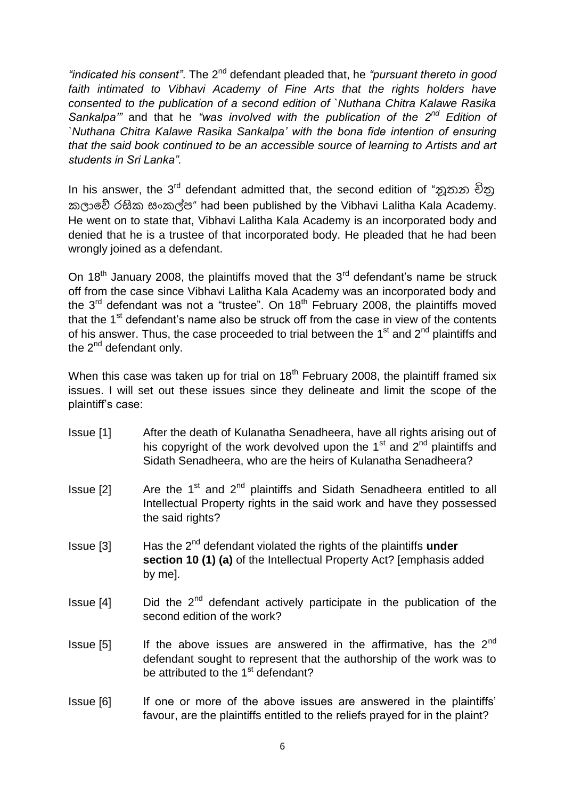*"indicated his consent"*. The 2nd defendant pleaded that, he *"pursuant thereto in good faith intimated to Vibhavi Academy of Fine Arts that the rights holders have consented to the publication of a second edition of `Nuthana Chitra Kalawe Rasika Sankalpa'"* and that he *"was involved with the publication of the 2nd Edition of `Nuthana Chitra Kalawe Rasika Sankalpa' with the bona fide intention of ensuring that the said book continued to be an accessible source of learning to Artists and art students in Sri Lanka".*

In his answer, the 3<sup>rd</sup> defendant admitted that, the second edition of "නූතන චිත කලාවේ රසික සංකල්ප" had been published by the Vibhavi Lalitha Kala Academy. He went on to state that, Vibhavi Lalitha Kala Academy is an incorporated body and denied that he is a trustee of that incorporated body. He pleaded that he had been wrongly joined as a defendant.

On 18<sup>th</sup> January 2008, the plaintiffs moved that the 3<sup>rd</sup> defendant's name be struck off from the case since Vibhavi Lalitha Kala Academy was an incorporated body and the  $3<sup>rd</sup>$  defendant was not a "trustee". On  $18<sup>th</sup>$  February 2008, the plaintiffs moved that the  $1<sup>st</sup>$  defendant's name also be struck off from the case in view of the contents of his answer. Thus, the case proceeded to trial between the  $1<sup>st</sup>$  and  $2<sup>nd</sup>$  plaintiffs and the  $2^{nd}$  defendant only.

When this case was taken up for trial on  $18<sup>th</sup>$  February 2008, the plaintiff framed six issues. I will set out these issues since they delineate and limit the scope of the plaintiff's case:

- Issue [1] After the death of Kulanatha Senadheera, have all rights arising out of his copyright of the work devolved upon the  $1<sup>st</sup>$  and  $2<sup>nd</sup>$  plaintiffs and Sidath Senadheera, who are the heirs of Kulanatha Senadheera?
- Issue  $[2]$  Are the 1<sup>st</sup> and 2<sup>nd</sup> plaintiffs and Sidath Senadheera entitled to all Intellectual Property rights in the said work and have they possessed the said rights?
- Issue [3] Has the 2nd defendant violated the rights of the plaintiffs **under section 10 (1) (a)** of the Intellectual Property Act? [emphasis added by me].
- Issue  $[4]$  Did the  $2<sup>nd</sup>$  defendant actively participate in the publication of the second edition of the work?
- Issue [5] If the above issues are answered in the affirmative, has the  $2^{nd}$ defendant sought to represent that the authorship of the work was to be attributed to the  $1<sup>st</sup>$  defendant?
- Issue [6] If one or more of the above issues are answered in the plaintiffs' favour, are the plaintiffs entitled to the reliefs prayed for in the plaint?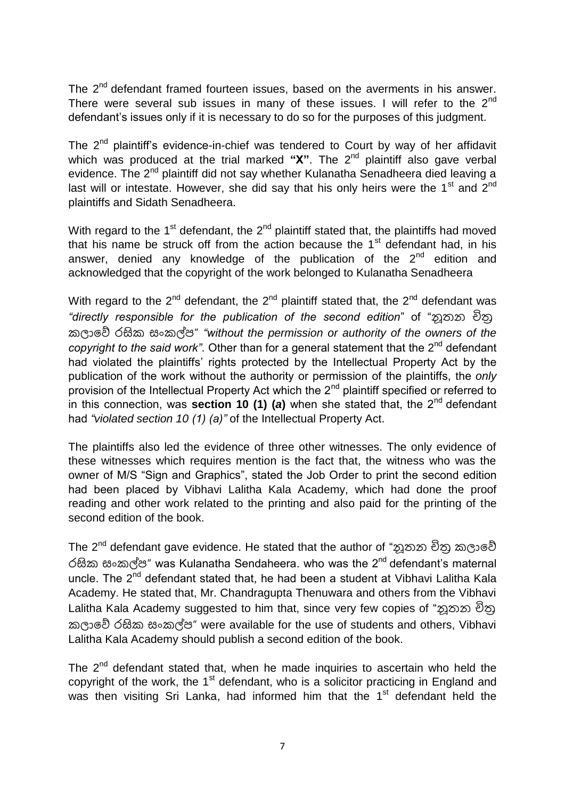The  $2^{nd}$  defendant framed fourteen issues, based on the averments in his answer. There were several sub issues in many of these issues. I will refer to the  $2^{nd}$ defendant's issues only if it is necessary to do so for the purposes of this judgment.

The 2<sup>nd</sup> plaintiff's evidence-in-chief was tendered to Court by way of her affidavit which was produced at the trial marked "X". The 2<sup>nd</sup> plaintiff also gave verbal evidence. The 2<sup>nd</sup> plaintiff did not say whether Kulanatha Senadheera died leaving a last will or intestate. However, she did say that his only heirs were the 1<sup>st</sup> and  $2^{nd}$ plaintiffs and Sidath Senadheera.

With regard to the  $1<sup>st</sup>$  defendant, the  $2<sup>nd</sup>$  plaintiff stated that, the plaintiffs had moved that his name be struck off from the action because the  $1<sup>st</sup>$  defendant had, in his answer, denied any knowledge of the publication of the  $2<sup>nd</sup>$  edition and acknowledged that the copyright of the work belonged to Kulanatha Senadheera

With regard to the 2<sup>nd</sup> defendant, the 2<sup>nd</sup> plaintiff stated that, the 2<sup>nd</sup> defendant was *"directly responsible for the publication of the second edition*" of "නූතන චිත්ර කලාවේ රසික සංකල්ප" *"without the permission or authority of the owners of the*  copyright to the said work". Other than for a general statement that the 2<sup>nd</sup> defendant had violated the plaintiffs' rights protected by the Intellectual Property Act by the publication of the work without the authority or permission of the plaintiffs, the *only* provision of the Intellectual Property Act which the 2<sup>nd</sup> plaintiff specified or referred to in this connection, was **section 10 (1) (a)** when she stated that, the  $2^{nd}$  defendant had *"violated section 10 (1) (a)"* of the Intellectual Property Act.

The plaintiffs also led the evidence of three other witnesses. The only evidence of these witnesses which requires mention is the fact that, the witness who was the owner of M/S "Sign and Graphics", stated the Job Order to print the second edition had been placed by Vibhavi Lalitha Kala Academy, which had done the proof reading and other work related to the printing and also paid for the printing of the second edition of the book.

The 2<sup>nd</sup> defendant gave evidence. He stated that the author of "නූතන චිතු කලාවේ රසික සංකල්ප" was Kulanatha Sendaheera. who was the 2<sup>nd</sup> defendant's maternal uncle. The 2<sup>nd</sup> defendant stated that, he had been a student at Vibhavi Lalitha Kala Academy. He stated that, Mr. Chandragupta Thenuwara and others from the Vibhavi Lalitha Kala Academy suggested to him that, since very few copies of "නූතන චිත කලාවේ රසික සංකල්ප" were available for the use of students and others, Vibhavi Lalitha Kala Academy should publish a second edition of the book.

The  $2^{nd}$  defendant stated that, when he made inquiries to ascertain who held the copyright of the work, the  $1<sup>st</sup>$  defendant, who is a solicitor practicing in England and was then visiting Sri Lanka, had informed him that the 1<sup>st</sup> defendant held the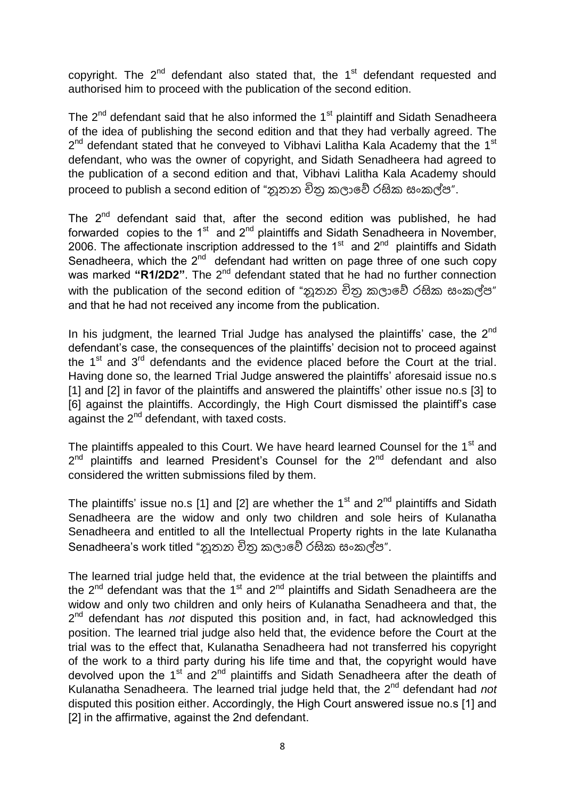copyright. The  $2^{nd}$  defendant also stated that, the  $1^{st}$  defendant requested and authorised him to proceed with the publication of the second edition.

The  $2^{nd}$  defendant said that he also informed the  $1<sup>st</sup>$  plaintiff and Sidath Senadheera of the idea of publishing the second edition and that they had verbally agreed. The  $2<sup>nd</sup>$  defendant stated that he conveyed to Vibhavi Lalitha Kala Academy that the 1<sup>st</sup> defendant, who was the owner of copyright, and Sidath Senadheera had agreed to the publication of a second edition and that, Vibhavi Lalitha Kala Academy should proceed to publish a second edition of "නූතන චිතු කලාවේ රසික සංකල්ප".

The  $2^{nd}$  defendant said that, after the second edition was published, he had forwarded copies to the  $1<sup>st</sup>$  and  $2<sup>nd</sup>$  plaintiffs and Sidath Senadheera in November, 2006. The affectionate inscription addressed to the  $1<sup>st</sup>$  and  $2<sup>nd</sup>$  plaintiffs and Sidath Senadheera, which the  $2^{nd}$  defendant had written on page three of one such copy was marked "R1/2D2". The 2<sup>nd</sup> defendant stated that he had no further connection with the publication of the second edition of "නූතන චිතු කලාවේ රසික සංකල්ප" and that he had not received any income from the publication.

In his judgment, the learned Trial Judge has analysed the plaintiffs' case, the  $2<sup>nd</sup>$ defendant's case, the consequences of the plaintiffs' decision not to proceed against the  $1<sup>st</sup>$  and  $3<sup>rd</sup>$  defendants and the evidence placed before the Court at the trial. Having done so, the learned Trial Judge answered the plaintiffs' aforesaid issue no.s [1] and [2] in favor of the plaintiffs and answered the plaintiffs' other issue no.s [3] to [6] against the plaintiffs. Accordingly, the High Court dismissed the plaintiff's case against the  $2^{nd}$  defendant, with taxed costs.

The plaintiffs appealed to this Court. We have heard learned Counsel for the 1<sup>st</sup> and  $2^{nd}$  plaintiffs and learned President's Counsel for the  $2^{nd}$  defendant and also considered the written submissions filed by them.

The plaintiffs' issue no.s [1] and [2] are whether the 1<sup>st</sup> and 2<sup>nd</sup> plaintiffs and Sidath Senadheera are the widow and only two children and sole heirs of Kulanatha Senadheera and entitled to all the Intellectual Property rights in the late Kulanatha Senadheera's work titled "නුතන චිතු කලාවේ රසික සංකල්ප".

The learned trial judge held that, the evidence at the trial between the plaintiffs and the  $2<sup>nd</sup>$  defendant was that the 1<sup>st</sup> and  $2<sup>nd</sup>$  plaintiffs and Sidath Senadheera are the widow and only two children and only heirs of Kulanatha Senadheera and that, the 2<sup>nd</sup> defendant has *not* disputed this position and, in fact, had acknowledged this position. The learned trial judge also held that, the evidence before the Court at the trial was to the effect that, Kulanatha Senadheera had not transferred his copyright of the work to a third party during his life time and that, the copyright would have devolved upon the 1<sup>st</sup> and 2<sup>nd</sup> plaintiffs and Sidath Senadheera after the death of Kulanatha Senadheera. The learned trial judge held that, the 2nd defendant had *not* disputed this position either. Accordingly, the High Court answered issue no.s [1] and [2] in the affirmative, against the 2nd defendant.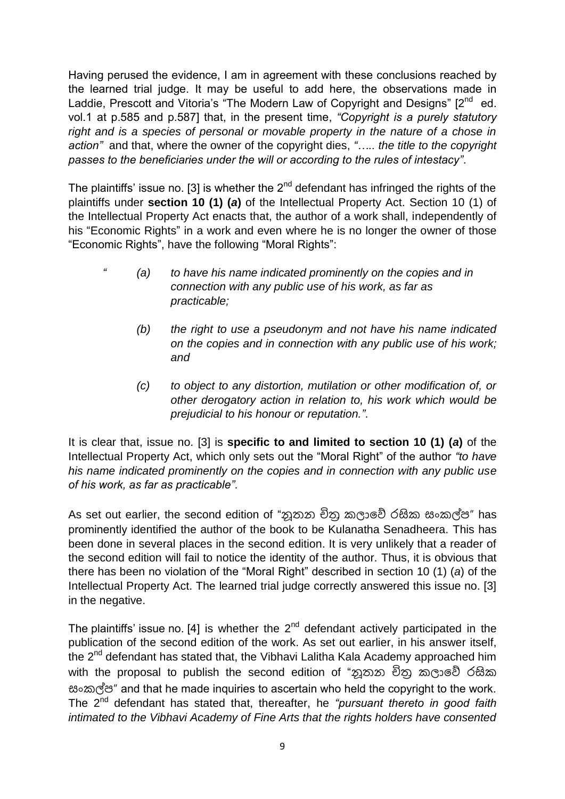Having perused the evidence, I am in agreement with these conclusions reached by the learned trial judge. It may be useful to add here, the observations made in Laddie, Prescott and Vitoria's "The Modern Law of Copyright and Designs" [2<sup>nd</sup> ed. vol.1 at p.585 and p.587] that, in the present time, *"Copyright is a purely statutory right and is a species of personal or movable property in the nature of a chose in action"* and that, where the owner of the copyright dies, *"….. the title to the copyright passes to the beneficiaries under the will or according to the rules of intestacy"*.

The plaintiffs' issue no. [3] is whether the  $2<sup>nd</sup>$  defendant has infringed the rights of the plaintiffs under **section 10 (1) (***a***)** of the Intellectual Property Act. Section 10 (1) of the Intellectual Property Act enacts that, the author of a work shall, independently of his "Economic Rights" in a work and even where he is no longer the owner of those "Economic Rights", have the following "Moral Rights":

- *" (a) to have his name indicated prominently on the copies and in connection with any public use of his work, as far as practicable;*
	- *(b) the right to use a pseudonym and not have his name indicated on the copies and in connection with any public use of his work; and*
	- *(c) to object to any distortion, mutilation or other modification of, or other derogatory action in relation to, his work which would be prejudicial to his honour or reputation."*.

It is clear that, issue no. [3] is **specific to and limited to section 10 (1) (***a***)** of the Intellectual Property Act, which only sets out the "Moral Right" of the author *"to have his name indicated prominently on the copies and in connection with any public use of his work, as far as practicable"*.

As set out earlier, the second edition of "නූතන චිතු කලාවේ රසික සංකල්ප" has prominently identified the author of the book to be Kulanatha Senadheera. This has been done in several places in the second edition. It is very unlikely that a reader of the second edition will fail to notice the identity of the author. Thus, it is obvious that there has been no violation of the "Moral Right" described in section 10 (1) (*a*) of the Intellectual Property Act. The learned trial judge correctly answered this issue no. [3] in the negative.

The plaintiffs' issue no. [4] is whether the  $2<sup>nd</sup>$  defendant actively participated in the publication of the second edition of the work. As set out earlier, in his answer itself, the  $2<sup>nd</sup>$  defendant has stated that, the Vibhavi Lalitha Kala Academy approached him with the proposal to publish the second edition of "නූතන චිත කලාවේ රසික සංකල්ප" and that he made inquiries to ascertain who held the copyright to the work. The 2nd defendant has stated that, thereafter, he *"pursuant thereto in good faith intimated to the Vibhavi Academy of Fine Arts that the rights holders have consented*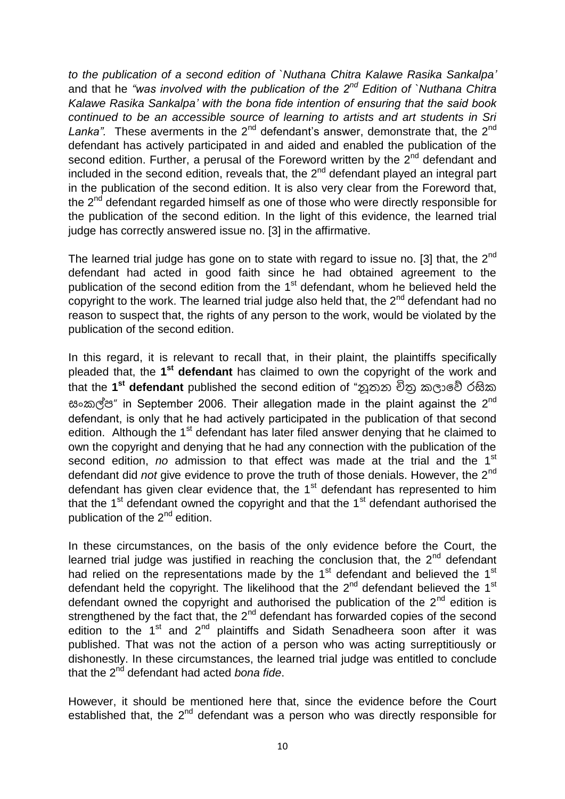*to the publication of a second edition of `Nuthana Chitra Kalawe Rasika Sankalpa'*  and that he *"was involved with the publication of the 2nd Edition of `Nuthana Chitra Kalawe Rasika Sankalpa' with the bona fide intention of ensuring that the said book continued to be an accessible source of learning to artists and art students in Sri*  Lanka". These averments in the 2<sup>nd</sup> defendant's answer, demonstrate that, the 2<sup>nd</sup> defendant has actively participated in and aided and enabled the publication of the second edition. Further, a perusal of the Foreword written by the 2<sup>nd</sup> defendant and included in the second edition, reveals that, the  $2^{nd}$  defendant played an integral part in the publication of the second edition. It is also very clear from the Foreword that, the 2<sup>nd</sup> defendant regarded himself as one of those who were directly responsible for the publication of the second edition. In the light of this evidence, the learned trial judge has correctly answered issue no. [3] in the affirmative.

The learned trial judge has gone on to state with regard to issue no. [3] that, the  $2^{nd}$ defendant had acted in good faith since he had obtained agreement to the publication of the second edition from the  $1<sup>st</sup>$  defendant, whom he believed held the copyright to the work. The learned trial judge also held that, the  $2<sup>nd</sup>$  defendant had no reason to suspect that, the rights of any person to the work, would be violated by the publication of the second edition.

In this regard, it is relevant to recall that, in their plaint, the plaintiffs specifically pleaded that, the 1<sup>st</sup> defendant has claimed to own the copyright of the work and that the **1 st defendant** published the second edition of "නූතන චිත්ර කලාවේ රසික සංකල්ප" in September 2006. Their allegation made in the plaint against the 2<sup>nd</sup> defendant, is only that he had actively participated in the publication of that second edition. Although the 1<sup>st</sup> defendant has later filed answer denying that he claimed to own the copyright and denying that he had any connection with the publication of the second edition, *no* admission to that effect was made at the trial and the 1<sup>st</sup> defendant did *not* give evidence to prove the truth of those denials. However, the 2nd defendant has given clear evidence that, the  $1<sup>st</sup>$  defendant has represented to him that the 1<sup>st</sup> defendant owned the copyright and that the 1<sup>st</sup> defendant authorised the publication of the  $2<sup>nd</sup>$  edition.

In these circumstances, on the basis of the only evidence before the Court, the learned trial judge was justified in reaching the conclusion that, the  $2<sup>nd</sup>$  defendant had relied on the representations made by the  $1<sup>st</sup>$  defendant and believed the  $1<sup>st</sup>$ defendant held the copyright. The likelihood that the  $2<sup>nd</sup>$  defendant believed the 1<sup>st</sup> defendant owned the copyright and authorised the publication of the  $2<sup>nd</sup>$  edition is strengthened by the fact that, the 2<sup>nd</sup> defendant has forwarded copies of the second edition to the  $1<sup>st</sup>$  and  $2<sup>nd</sup>$  plaintiffs and Sidath Senadheera soon after it was published. That was not the action of a person who was acting surreptitiously or dishonestly. In these circumstances, the learned trial judge was entitled to conclude that the 2nd defendant had acted *bona fide*.

However, it should be mentioned here that, since the evidence before the Court established that, the 2<sup>nd</sup> defendant was a person who was directly responsible for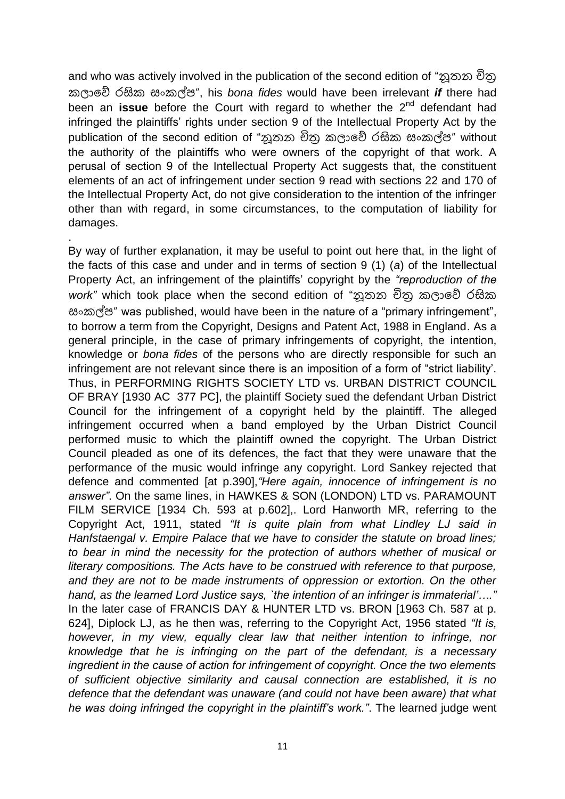and who was actively involved in the publication of the second edition of "නූතන චිතු කලාවේ රසික සංකල්ප", his *bona fides* would have been irrelevant *if* there had been an **issue** before the Court with regard to whether the 2<sup>nd</sup> defendant had infringed the plaintiffs' rights under section 9 of the Intellectual Property Act by the publication of the second edition of "නූතන චිතු කලාවේ රසික සංකල්ප" without the authority of the plaintiffs who were owners of the copyright of that work. A perusal of section 9 of the Intellectual Property Act suggests that, the constituent elements of an act of infringement under section 9 read with sections 22 and 170 of the Intellectual Property Act, do not give consideration to the intention of the infringer other than with regard, in some circumstances, to the computation of liability for damages.

.

By way of further explanation, it may be useful to point out here that, in the light of the facts of this case and under and in terms of section 9 (1) (*a*) of the Intellectual Property Act, an infringement of the plaintiffs' copyright by the *"reproduction of the work*" which took place when the second edition of "නූතන චිතු කලාවේ රසික සංකල්ප" was published, would have been in the nature of a "primary infringement", to borrow a term from the Copyright, Designs and Patent Act, 1988 in England. As a general principle, in the case of primary infringements of copyright, the intention, knowledge or *bona fides* of the persons who are directly responsible for such an infringement are not relevant since there is an imposition of a form of "strict liability'. Thus, in PERFORMING RIGHTS SOCIETY LTD vs. URBAN DISTRICT COUNCIL OF BRAY [1930 AC 377 PC], the plaintiff Society sued the defendant Urban District Council for the infringement of a copyright held by the plaintiff. The alleged infringement occurred when a band employed by the Urban District Council performed music to which the plaintiff owned the copyright. The Urban District Council pleaded as one of its defences, the fact that they were unaware that the performance of the music would infringe any copyright. Lord Sankey rejected that defence and commented [at p.390],*"Here again, innocence of infringement is no answer"*. On the same lines, in HAWKES & SON (LONDON) LTD vs. PARAMOUNT FILM SERVICE [1934 Ch. 593 at p.602],. Lord Hanworth MR, referring to the Copyright Act, 1911, stated *"It is quite plain from what Lindley LJ said in Hanfstaengal v. Empire Palace that we have to consider the statute on broad lines; to bear in mind the necessity for the protection of authors whether of musical or literary compositions. The Acts have to be construed with reference to that purpose, and they are not to be made instruments of oppression or extortion. On the other hand, as the learned Lord Justice says, `the intention of an infringer is immaterial'…."*  In the later case of FRANCIS DAY & HUNTER LTD vs. BRON [1963 Ch. 587 at p. 624], Diplock LJ, as he then was, referring to the Copyright Act, 1956 stated *"It is, however, in my view, equally clear law that neither intention to infringe, nor knowledge that he is infringing on the part of the defendant, is a necessary ingredient in the cause of action for infringement of copyright. Once the two elements of sufficient objective similarity and causal connection are established, it is no defence that the defendant was unaware (and could not have been aware) that what he was doing infringed the copyright in the plaintiff's work."*. The learned judge went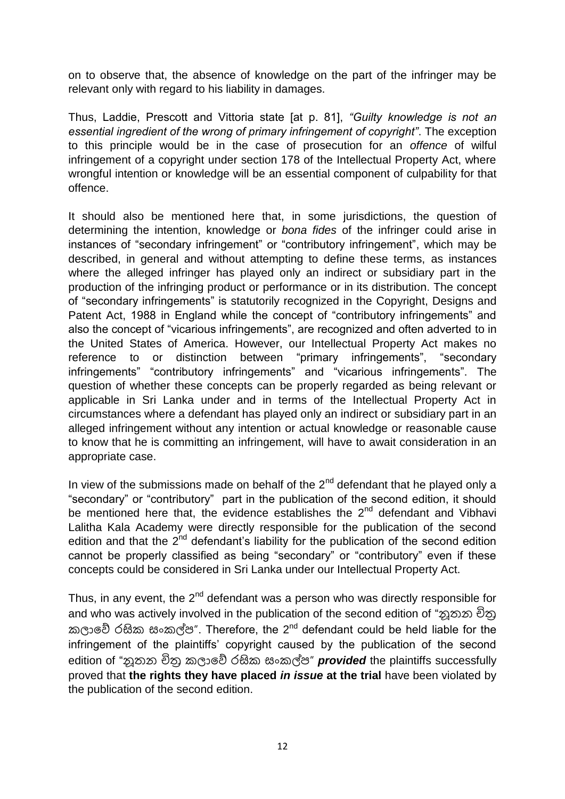on to observe that, the absence of knowledge on the part of the infringer may be relevant only with regard to his liability in damages.

Thus, Laddie, Prescott and Vittoria state [at p. 81], *"Guilty knowledge is not an essential ingredient of the wrong of primary infringement of copyright"*. The exception to this principle would be in the case of prosecution for an *offence* of wilful infringement of a copyright under section 178 of the Intellectual Property Act, where wrongful intention or knowledge will be an essential component of culpability for that offence.

It should also be mentioned here that, in some jurisdictions, the question of determining the intention, knowledge or *bona fides* of the infringer could arise in instances of "secondary infringement" or "contributory infringement", which may be described, in general and without attempting to define these terms, as instances where the alleged infringer has played only an indirect or subsidiary part in the production of the infringing product or performance or in its distribution. The concept of "secondary infringements" is statutorily recognized in the Copyright, Designs and Patent Act, 1988 in England while the concept of "contributory infringements" and also the concept of "vicarious infringements", are recognized and often adverted to in the United States of America. However, our Intellectual Property Act makes no reference to or distinction between "primary infringements", "secondary infringements" "contributory infringements" and "vicarious infringements". The question of whether these concepts can be properly regarded as being relevant or applicable in Sri Lanka under and in terms of the Intellectual Property Act in circumstances where a defendant has played only an indirect or subsidiary part in an alleged infringement without any intention or actual knowledge or reasonable cause to know that he is committing an infringement, will have to await consideration in an appropriate case.

In view of the submissions made on behalf of the  $2<sup>nd</sup>$  defendant that he played only a "secondary" or "contributory" part in the publication of the second edition, it should be mentioned here that, the evidence establishes the  $2<sup>nd</sup>$  defendant and Vibhavi Lalitha Kala Academy were directly responsible for the publication of the second edition and that the  $2^{nd}$  defendant's liability for the publication of the second edition cannot be properly classified as being "secondary" or "contributory" even if these concepts could be considered in Sri Lanka under our Intellectual Property Act.

Thus, in any event, the  $2^{nd}$  defendant was a person who was directly responsible for and who was actively involved in the publication of the second edition of "නූතන චිත කලාවේ රසික සංකල්ප". Therefore, the 2<sup>nd</sup> defendant could be held liable for the infringement of the plaintiffs' copyright caused by the publication of the second edition of "නූතන චිතු කලාවේ රසික සංකල්ප" *provided* the plaintiffs successfully proved that **the rights they have placed** *in issue* **at the trial** have been violated by the publication of the second edition.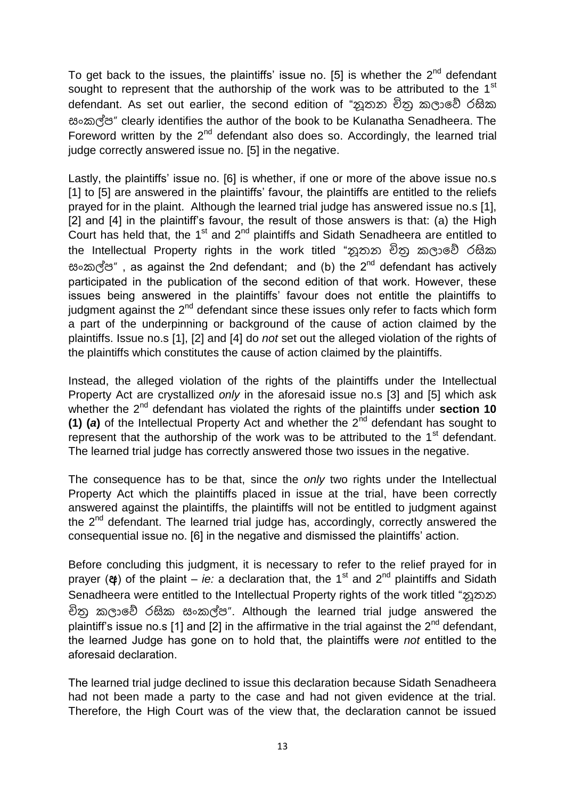To get back to the issues, the plaintiffs' issue no. [5] is whether the  $2^{nd}$  defendant sought to represent that the authorship of the work was to be attributed to the 1<sup>st</sup> defendant. As set out earlier, the second edition of "නූතන චිතු කලාවේ රසික සංකල්ප" clearly identifies the author of the book to be Kulanatha Senadheera. The Foreword written by the  $2<sup>nd</sup>$  defendant also does so. Accordingly, the learned trial judge correctly answered issue no. [5] in the negative.

Lastly, the plaintiffs' issue no. [6] is whether, if one or more of the above issue no.s [1] to [5] are answered in the plaintiffs' favour, the plaintiffs are entitled to the reliefs prayed for in the plaint. Although the learned trial judge has answered issue no.s [1], [2] and [4] in the plaintiff's favour, the result of those answers is that: (a) the High Court has held that, the  $1<sup>st</sup>$  and  $2<sup>nd</sup>$  plaintiffs and Sidath Senadheera are entitled to the Intellectual Property rights in the work titled "නූතන චිතු කලාවේ රසික සංකල්ප", as against the 2nd defendant; and (b) the 2<sup>nd</sup> defendant has actively participated in the publication of the second edition of that work. However, these issues being answered in the plaintiffs' favour does not entitle the plaintiffs to judgment against the 2<sup>nd</sup> defendant since these issues only refer to facts which form a part of the underpinning or background of the cause of action claimed by the plaintiffs. Issue no.s [1], [2] and [4] do *not* set out the alleged violation of the rights of the plaintiffs which constitutes the cause of action claimed by the plaintiffs.

Instead, the alleged violation of the rights of the plaintiffs under the Intellectual Property Act are crystallized *only* in the aforesaid issue no.s [3] and [5] which ask whether the 2<sup>nd</sup> defendant has violated the rights of the plaintiffs under **section 10 (1) (***a***)** of the Intellectual Property Act and whether the 2nd defendant has sought to represent that the authorship of the work was to be attributed to the 1<sup>st</sup> defendant. The learned trial judge has correctly answered those two issues in the negative.

The consequence has to be that, since the *only* two rights under the Intellectual Property Act which the plaintiffs placed in issue at the trial, have been correctly answered against the plaintiffs, the plaintiffs will not be entitled to judgment against the 2<sup>nd</sup> defendant. The learned trial judge has, accordingly, correctly answered the consequential issue no. [6] in the negative and dismissed the plaintiffs' action.

Before concluding this judgment, it is necessary to refer to the relief prayed for in prayer ( $\alpha$ ) of the plaint – *ie:* a declaration that, the 1<sup>st</sup> and 2<sup>nd</sup> plaintiffs and Sidath Senadheera were entitled to the Intellectual Property rights of the work titled "නූතන චිත කලාවේ රසික සංකල්ප". Although the learned trial judge answered the plaintiff's issue no.s [1] and [2] in the affirmative in the trial against the  $2<sup>nd</sup>$  defendant, the learned Judge has gone on to hold that, the plaintiffs were *not* entitled to the aforesaid declaration.

The learned trial judge declined to issue this declaration because Sidath Senadheera had not been made a party to the case and had not given evidence at the trial. Therefore, the High Court was of the view that, the declaration cannot be issued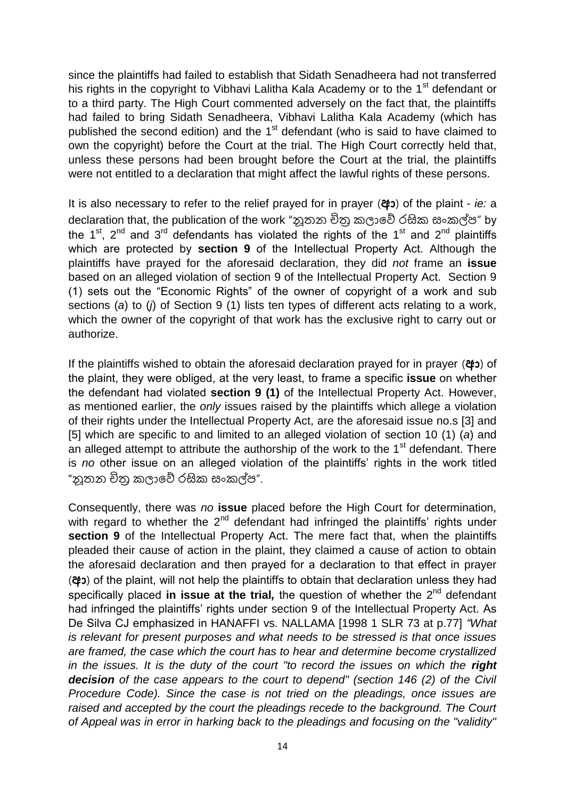since the plaintiffs had failed to establish that Sidath Senadheera had not transferred his rights in the copyright to Vibhavi Lalitha Kala Academy or to the 1<sup>st</sup> defendant or to a third party. The High Court commented adversely on the fact that, the plaintiffs had failed to bring Sidath Senadheera, Vibhavi Lalitha Kala Academy (which has published the second edition) and the  $1<sup>st</sup>$  defendant (who is said to have claimed to own the copyright) before the Court at the trial. The High Court correctly held that, unless these persons had been brought before the Court at the trial, the plaintiffs were not entitled to a declaration that might affect the lawful rights of these persons.

It is also necessary to refer to the relief prayed for in prayer (**ආ**) of the plaint - *ie:* a declaration that, the publication of the work "නුතන චිතු කලාවේ රසික සංකල්ප" by the 1<sup>st</sup>, 2<sup>nd</sup> and 3<sup>rd</sup> defendants has violated the rights of the 1<sup>st</sup> and 2<sup>nd</sup> plaintiffs which are protected by **section 9** of the Intellectual Property Act. Although the plaintiffs have prayed for the aforesaid declaration, they did *not* frame an **issue** based on an alleged violation of section 9 of the Intellectual Property Act. Section 9 (1) sets out the "Economic Rights" of the owner of copyright of a work and sub sections (*a*) to (*j*) of Section 9 (1) lists ten types of different acts relating to a work, which the owner of the copyright of that work has the exclusive right to carry out or authorize.

If the plaintiffs wished to obtain the aforesaid declaration prayed for in prayer (**ආ**) of the plaint, they were obliged, at the very least, to frame a specific **issue** on whether the defendant had violated **section 9 (1)** of the Intellectual Property Act. However, as mentioned earlier, the *only* issues raised by the plaintiffs which allege a violation of their rights under the Intellectual Property Act, are the aforesaid issue no.s [3] and [5] which are specific to and limited to an alleged violation of section 10 (1) (*a*) and an alleged attempt to attribute the authorship of the work to the  $1<sup>st</sup>$  defendant. There is *no* other issue on an alleged violation of the plaintiffs' rights in the work titled "නූතන චිතු කලාවේ රසික සංකල්ප".

Consequently, there was *no* **issue** placed before the High Court for determination, with regard to whether the  $2^{nd}$  defendant had infringed the plaintiffs' rights under **section 9** of the Intellectual Property Act. The mere fact that, when the plaintiffs pleaded their cause of action in the plaint, they claimed a cause of action to obtain the aforesaid declaration and then prayed for a declaration to that effect in prayer (**ආ**) of the plaint, will not help the plaintiffs to obtain that declaration unless they had specifically placed in issue at the trial, the question of whether the 2<sup>nd</sup> defendant had infringed the plaintiffs' rights under section 9 of the Intellectual Property Act. As De Silva CJ emphasized in HANAFFI vs. NALLAMA [1998 1 SLR 73 at p.77] *"What is relevant for present purposes and what needs to be stressed is that once issues are framed, the case which the court has to hear and determine become crystallized in the issues. It is the duty of the court "to record the issues on which the right decision of the case appears to the court to depend" (section 146 (2) of the Civil Procedure Code). Since the case is not tried on the pleadings, once issues are*  raised and accepted by the court the pleadings recede to the background. The Court *of Appeal was in error in harking back to the pleadings and focusing on the "validity"*